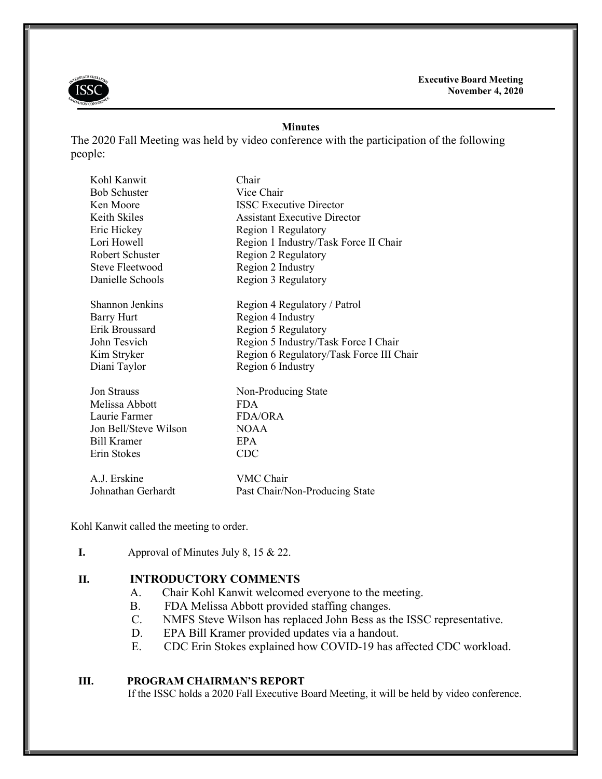**Executive Board Meeting November 4, 2020**

#### **Minutes**

The 2020 Fall Meeting was held by video conference with the participation of the following people:

| Kohl Kanwit           | Chair                                    |
|-----------------------|------------------------------------------|
| <b>Bob Schuster</b>   | Vice Chair                               |
| Ken Moore             | <b>ISSC Executive Director</b>           |
| Keith Skiles          | <b>Assistant Executive Director</b>      |
| Eric Hickey           | Region 1 Regulatory                      |
| Lori Howell           | Region 1 Industry/Task Force II Chair    |
| Robert Schuster       | Region 2 Regulatory                      |
| Steve Fleetwood       | Region 2 Industry                        |
| Danielle Schools      | Region 3 Regulatory                      |
| Shannon Jenkins       | Region 4 Regulatory / Patrol             |
| <b>Barry Hurt</b>     | Region 4 Industry                        |
| Erik Broussard        | Region 5 Regulatory                      |
| John Tesvich          | Region 5 Industry/Task Force I Chair     |
| Kim Stryker           | Region 6 Regulatory/Task Force III Chair |
| Diani Taylor          | Region 6 Industry                        |
| <b>Jon Strauss</b>    | Non-Producing State                      |
| Melissa Abbott        | <b>FDA</b>                               |
| Laurie Farmer         | <b>FDA/ORA</b>                           |
| Jon Bell/Steve Wilson | <b>NOAA</b>                              |
| <b>Bill Kramer</b>    | <b>EPA</b>                               |
| Erin Stokes           | <b>CDC</b>                               |
| A.J. Erskine          | VMC Chair                                |
| Johnathan Gerhardt    | Past Chair/Non-Producing State           |
|                       |                                          |

Kohl Kanwit called the meeting to order.

**I.** Approval of Minutes July 8, 15 & 22.

# **II. INTRODUCTORY COMMENTS**

- A. Chair Kohl Kanwit welcomed everyone to the meeting.
- B. FDA Melissa Abbott provided staffing changes.
- C. NMFS Steve Wilson has replaced John Bess as the ISSC representative.
- D. EPA Bill Kramer provided updates via a handout.
- E. CDC Erin Stokes explained how COVID-19 has affected CDC workload.

### **III. PROGRAM CHAIRMAN'S REPORT**

If the ISSC holds a 2020 Fall Executive Board Meeting, it will be held by video conference.